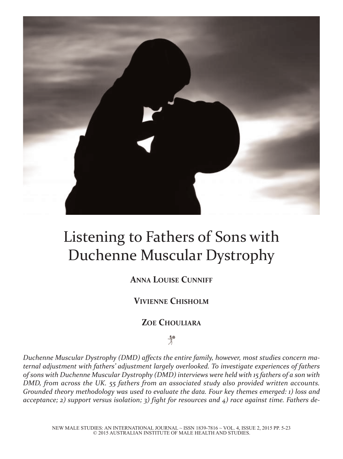

# Listening to Fathers of Sons with Duchenne Muscular Dystrophy

# **AnnA Louise Cunniff**

# **ViVienne ChishoLm**

# **Zoe ChouLiArA**

# $\mathcal{R}^{\bullet}$

*Duchenne Muscular Dystrophy (DMD) affects the entire family, however, most studies concern maternal adjustment with fathers' adjustment largely overlooked. To investigate experiences of fathers of sons with Duchenne Muscular Dystrophy (DMD) interviews were held with 15 fathers of a son with DMD, from across the UK. 55 fathers from an associated study also provided written accounts. Grounded theory methodology was used to evaluate the data. Four key themes emerged: 1) loss and acceptance; 2) support versus isolation; 3) fight for resources and 4) race against time. Fathers de-*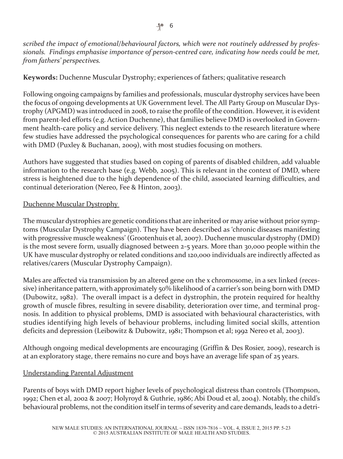*scribed the impact of emotional/behavioural factors, which were not routinely addressed by professionals. Findings emphasise importance of person-centred care, indicating how needs could be met, from fathers' perspectives.*

#### **Keywords:** Duchenne Muscular Dystrophy; experiences of fathers; qualitative research

Following ongoing campaigns by families and professionals, muscular dystrophy services have been the focus of ongoing developments at UK Government level. The All Party Group on Muscular Dystrophy (APGMD) was introduced in 2008, to raise the profile of the condition. However, it is evident from parent-led efforts (e.g. Action Duchenne), that families believe DMD is overlooked in Government health-care policy and service delivery. This neglect extends to the research literature where few studies have addressed the psychological consequences for parents who are caring for a child with DMD (Puxley & Buchanan, 2009), with most studies focusing on mothers.

Authors have suggested that studies based on coping of parents of disabled children, add valuable information to the research base (e.g. Webb, 2005). This is relevant in the context of DMD, where stress is heightened due to the high dependence of the child, associated learning difficulties, and continual deterioration (Nereo, Fee & Hinton, 2003).

#### Duchenne Muscular Dystrophy

The muscular dystrophies are genetic conditions that are inherited or may arise without prior symptoms (Muscular Dystrophy Campaign). They have been described as 'chronic diseases manifesting with progressive muscle weakness' (Grootenhuis et al, 2007). Duchenne muscular dystrophy (DMD) is the most severe form, usually diagnosed between 2-5 years. More than 30,000 people within the UK have muscular dystrophy orrelated conditions and 120,000 individuals are indirectly affected as relatives/carers (Muscular Dystrophy Campaign).

Males are affected via transmission by an altered gene on the x chromosome, in a sex linked (recessive) inheritance pattern, with approximately 50% likelihood of a carrier's son being born with DMD (Dubowitz, 1982). The overall impact is a defect in dystrophin, the protein required for healthy growth of muscle fibres, resulting in severe disability, deterioration over time, and terminal prognosis. In addition to physical problems, DMD is associated with behavioural characteristics, with studies identifying high levels of behaviour problems, including limited social skills, attention deficits and depression (Leibowitz & Dubowitz, 1981; Thompson et al; 1992 Nereo et al, 2003).

Although ongoing medical developments are encouraging (Griffin & Des Rosier, 2009), research is at an exploratory stage, there remains no cure and boys have an average life span of 25 years.

#### Understanding Parental Adjustment

Parents of boys with DMD report higher levels of psychological distress than controls (Thompson, 1992; Chen et al, 2002 & 2007; Holyroyd & Guthrie, 1986; Abi Doud et al, 2004). Notably, the child's behavioural problems, not the condition itself in terms of severity and care demands, leads to a detri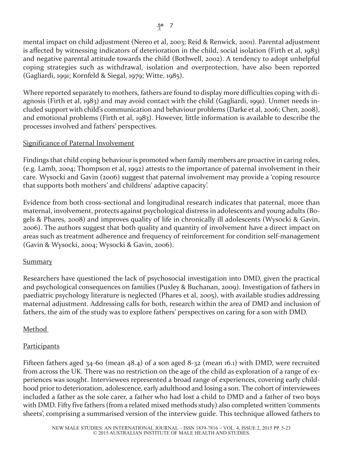mental impact on child adjustment (Nereo et al, 2003; Reid & Renwick, 2001). Parental adjustment is affected by witnessing indicators of deterioration in the child, social isolation (Firth et al, 1983) and negative parental attitude towards the child (Bothwell, 2002). A tendency to adopt unhelpful coping strategies such as withdrawal, isolation and overprotection, have also been reported (Gagliardi, 1991; Kornfeld & Siegal, 1979; Witte, 1985).

Where reported separately to mothers, fathers are found to display more difficulties coping with diagnosis (Firth et al, 1983) and may avoid contact with the child (Gagliardi, 1991). Unmet needs included support with child's communication and behaviour problems (Darke et al, 2006; Chen, 2008), and emotional problems (Firth et al, 1983). However, little information is available to describe the processes involved and fathers' perspectives.

#### Significance of Paternal Involvement

Findings that child coping behaviour is promoted when family members are proactive in caring roles, (e.g. Lamb, 2004; Thompson et al, 1992) attests to the importance of paternal involvement in their care. Wysocki and Gavin (2006) suggest that paternal involvement may provide a 'coping resource that supports both mothers' and childrens' adaptive capacity'.

Evidence from both cross-sectional and longitudinal research indicates that paternal, more than maternal, involvement, protects against psychological distress in adolescents and young adults (Bogels & Phares, 2008) and improves quality of life in chronically ill adolescents (Wysocki & Gavin, 2006). The authors suggest that both quality and quantity of involvement have a direct impact on areas such as treatment adherence and frequency of reinforcement for condition self-management (Gavin & Wysocki, 2004; Wysocki & Gavin, 2006).

#### Summary

Researchers have questioned the lack of psychosocial investigation into DMD, given the practical and psychological consequences on families (Puxley & Buchanan, 2009). Investigation of fathers in paediatric psychology literature is neglected (Phares et al, 2005), with available studies addressing maternal adjustment. Addressing calls for both, research within the area of DMD and inclusion of fathers, the aim of the study was to explore fathers' perspectives on caring for a son with DMD.

# Method

# **Participants**

Fifteen fathers aged 34-60 (mean 48.4) of a son aged 8-32 (mean 16.1) with DMD, were recruited from across the UK. There was no restriction on the age of the child as exploration of a range of experiences was sought. Interviewees represented a broad range of experiences, covering early childhood prior to deterioration, adolescence, early adulthood and losing a son. The cohort of interviewees included a father as the sole carer, a father who had lost a child to DMD and a father of two boys with DMD. Fifty five fathers (from a related mixed methods study) also completed written 'comments sheets', comprising a summarised version of the interview guide. This technique allowed fathers to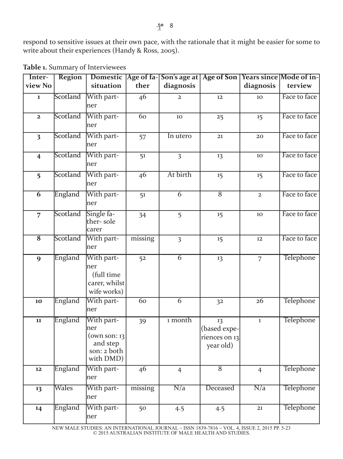respond to sensitive issues at their own pace, with the rationale that it might be easier for some to write about their experiences (Handy & Ross, 2005).

| Inter-                  | <b>Region</b> |                                                                            |                 | Domestic   Age of fa-  Son's age at   Age of Son   Years since   Mode of in- |                                                  |                  |                  |
|-------------------------|---------------|----------------------------------------------------------------------------|-----------------|------------------------------------------------------------------------------|--------------------------------------------------|------------------|------------------|
| view No                 |               | situation                                                                  | ther            | diagnosis                                                                    |                                                  | diagnosis        | terview          |
| $\mathbf{1}$            | Scotland      | With part-<br>ner                                                          | $\overline{46}$ | $\overline{2}$                                                               | 12                                               | 10               | Face to face     |
| $\mathbf{2}$            | Scotland      | With part-<br>ner                                                          | 60              | 10                                                                           | 25                                               | 15               | Face to face     |
| $\overline{\mathbf{3}}$ | Scotland      | With part-<br>ner                                                          | 57              | In utero                                                                     | 21                                               | 20               | Face to face     |
| $\overline{\mathbf{4}}$ | Scotland      | With part-<br>mer                                                          | 51              | $\overline{3}$                                                               | 13                                               | 10               | Face to face     |
| 5                       | Scotland      | With part-<br>Iner                                                         | 46              | At birth                                                                     | 15                                               | 15               | Face to face     |
| $\overline{6}$          | England       | With part-<br>mer                                                          | 51              | $\overline{6}$                                                               | $\overline{8}$                                   | $\overline{2}$   | Face to face     |
| $\overline{7}$          | Scotland      | Single fa-<br>ther-sole<br>lcarer                                          | 34              | 5                                                                            | 15                                               | 10               | Face to face     |
| $\overline{\bf 8}$      | Scotland      | With part-<br>ner                                                          | missing         | $\overline{\mathbf{3}}$                                                      | 15                                               | 12               | Face to face     |
| 9                       | England       | With part-<br>ner<br>(full time<br>carer, whilst<br>wife works)            | 52              | $\overline{6}$                                                               | 13                                               | $\overline{7}$   | <b>Telephone</b> |
| 10                      | England       | With part-<br>Iner                                                         | 60              | $\overline{6}$                                                               | 3 <sup>2</sup>                                   | 26               | Telephone        |
| 11                      | England       | With part-<br>ner<br>(own son: 13)<br>and step<br>son: 2 both<br>with DMD) | 39              | 1 month                                                                      | 13<br>(based expe-<br>riences on 13<br>year old) | $\bf 1$          | Telephone        |
| 12                      | England       | With part-<br>ner                                                          | $\overline{46}$ | $\overline{4}$                                                               | $\overline{8}$                                   | $\overline{4}$   | <b>Telephone</b> |
| 13                      | Wales         | With part-<br>ner                                                          | missing         | $\overline{N/a}$                                                             | Deceased                                         | $\overline{N/a}$ | Telephone        |
| 14                      | England       | With part-<br>ner                                                          | 50              | 4.5                                                                          | 4.5                                              | 21               | Telephone        |

**Table 1.** Summary of Interviewees

NEW MALE STUDIES: AN INTERNATIONAL JOURNAL ~ ISSN 1839-7816 ~ VOL. 4, ISSUE 2, 2015 PP. 5-23 © 2015 AUSTRALIAN INSTITUTE OF MALE HEALTH AND STUDIES.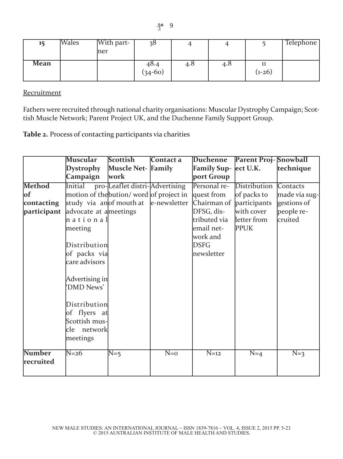| 15   | Wales | With part- | ვგ        | 4   |     |          | <b>Telephone</b> |
|------|-------|------------|-----------|-----|-----|----------|------------------|
|      |       | mer        |           |     |     |          |                  |
| Mean |       |            | 48.4      | 4.8 | 4.0 | 11       |                  |
|      |       |            | $(34-60)$ |     |     | $(1-26)$ |                  |

**Recruitment** 

Fathers were recruited through national charity organisations: Muscular Dystrophy Campaign; Scottish Muscle Network; Parent Project UK, and the Duchenne Family Support Group.

**Table 2.** Process of contacting participants via charities

|                            | Muscular                                                                 | <b>Scottish</b>                | Contact a    | Duchenne                 | <b>Parent Proj-Snowball</b> |               |
|----------------------------|--------------------------------------------------------------------------|--------------------------------|--------------|--------------------------|-----------------------------|---------------|
|                            | <b>Dystrophy</b>                                                         | Muscle Net- Family             |              | Family Sup- ect U.K.     |                             | technique     |
|                            | Campaign                                                                 | work                           |              | port Group               |                             |               |
| <b>Method</b>              | <b>Initial</b>                                                           | pro-Leaflet distri-Advertising |              | Personal re-             | Distribution                | Contacts      |
| of                         | motion of the bution/word of project in                                  |                                |              | quest from               | of packs to                 | made via sug- |
| contacting                 | study via anof mouth at                                                  |                                | e-newsletter | Chairman of participants |                             | gestions of   |
| participant                | advocate at a meetings                                                   |                                |              | DFSG, dis-               | with cover                  | people re-    |
|                            | hational                                                                 |                                |              | tributed via             | letter from                 | cruited       |
|                            | meeting                                                                  |                                |              | email net-               | <b>PPUK</b>                 |               |
|                            |                                                                          |                                |              | work and                 |                             |               |
|                            | Distribution                                                             |                                |              | <b>DSFG</b>              |                             |               |
|                            | of packs via                                                             |                                |              | newsletter               |                             |               |
|                            | care advisors                                                            |                                |              |                          |                             |               |
|                            | Advertising in<br>'DMD News'                                             |                                |              |                          |                             |               |
|                            | Distribution<br>of flyers at<br>Scottish mus-<br>cle network<br>meetings |                                |              |                          |                             |               |
| <b>Number</b><br>recruited | $N=26$                                                                   | $N=5$                          | $N=0$        | $N=12$                   | $N=4$                       | $N=3$         |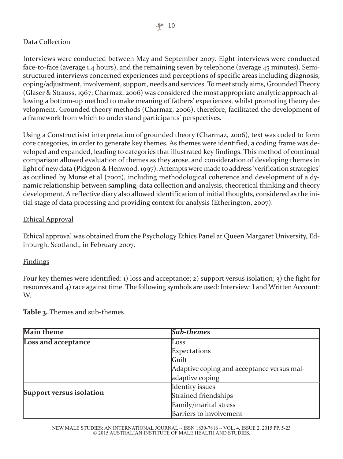# Data Collection

Interviews were conducted between May and September 2007. Eight interviews were conducted face-to-face (average 1.4 hours), and the remaining seven by telephone (average 45 minutes). Semistructured interviews concerned experiences and perceptions of specific areas including diagnosis, coping/adjustment, involvement, support, needs and services. To meet study aims, Grounded Theory (Glaser & Strauss, 1967; Charmaz, 2006) was considered the most appropriate analytic approach allowing a bottom-up method to make meaning of fathers' experiences, whilst promoting theory development. Grounded theory methods (Charmaz, 2006), therefore, facilitated the development of a framework from which to understand participants' perspectives.

Using a Constructivist interpretation of grounded theory (Charmaz, 2006), text was coded to form core categories, in order to generate key themes. As themes were identified, a coding frame was developed and expanded, leading to categories that illustrated key findings. This method of continual comparison allowed evaluation of themes as they arose, and consideration of developing themes in light of new data (Pidgeon & Henwood, 1997). Attempts were made to address 'verification strategies' as outlined by Morse et al (2002), including methodological coherence and development of a dynamic relationship between sampling, data collection and analysis, theoretical thinking and theory development. A reflective diary also allowed identification of initial thoughts, considered as the initial stage of data processing and providing context for analysis (Etherington, 2007).

#### Ethical Approval

Ethical approval was obtained from the Psychology Ethics Panel at Queen Margaret University, Edinburgh, Scotland,, in February 2007.

#### Findings

Four key themes were identified: 1) loss and acceptance; 2) support versus isolation; 3) the fight for resources and 4) race against time. The following symbols are used: Interview: I and Written Account: W.

| <b>Main theme</b>          | <b>Sub-themes</b>                          |  |
|----------------------------|--------------------------------------------|--|
| <b>Loss and acceptance</b> | Loss                                       |  |
|                            | Expectations                               |  |
|                            | Guilt                                      |  |
|                            | Adaptive coping and acceptance versus mal- |  |
|                            | adaptive coping                            |  |
|                            | Identity issues                            |  |
| Support versus isolation   | Strained friendships                       |  |
|                            | Family/marital stress                      |  |
|                            | Barriers to involvement                    |  |

**Table 3.** Themes and sub-themes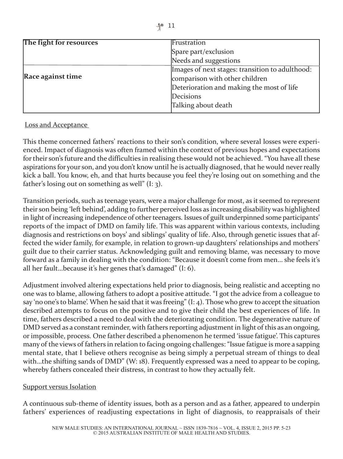| The fight for resources  | Frustration                                     |  |  |
|--------------------------|-------------------------------------------------|--|--|
|                          | Spare part/exclusion                            |  |  |
|                          | Needs and suggestions                           |  |  |
|                          | Images of next stages: transition to adulthood: |  |  |
| <b>Race against time</b> | comparison with other children                  |  |  |
|                          | Deterioration and making the most of life       |  |  |
|                          | Decisions                                       |  |  |
|                          | Talking about death                             |  |  |

#### Loss and Acceptance

This theme concerned fathers' reactions to their son's condition, where several losses were experienced. Impact of diagnosis was often framed within the context of previous hopes and expectations fortheir son's future and the difficulties in realising these would not be achieved. "You have all these aspirations for your son, and you don't know until he is actually diagnosed, that he would never really kick a ball. You know, eh, and that hurts because you feel they're losing out on something and the father's losing out on something as well"  $(I: 3)$ .

Transition periods, such as teenage years, were a major challenge for most, as it seemed to represent their son being 'left behind', adding to further perceived loss as increasing disability was highlighted in light of increasing independence of other teenagers. Issues of guilt underpinned some participants' reports of the impact of DMD on family life. This was apparent within various contexts, including diagnosis and restrictions on boys' and siblings' quality of life. Also, through genetic issues that affected the wider family, for example, in relation to grown-up daughters' relationships and mothers' guilt due to their carrier status. Acknowledging guilt and removing blame, was necessary to move forward as a family in dealing with the condition: "Because it doesn't come from men… she feels it's all her fault…because it's her genes that's damaged" (I: 6).

Adjustment involved altering expectations held prior to diagnosis, being realistic and accepting no one was to blame, allowing fathers to adopt a positive attitude. "I got the advice from a colleague to say 'no one's to blame'. When he said that it was freeing"  $(I: 4)$ . Those who grew to accept the situation described attempts to focus on the positive and to give their child the best experiences of life. In time, fathers described a need to deal with the deteriorating condition. The degenerative nature of DMD served as a constant reminder, with fathers reporting adjustment in light of this as an ongoing, or impossible, process. One father described a phenomenon he termed 'issue fatigue'. This captures many of the views of fathers in relation to facing ongoing challenges: "Issue fatigue is more a sapping mental state, that I believe others recognise as being simply a perpetual stream of things to deal with…the shifting sands of DMD" (W: 18). Frequently expressed was a need to appear to be coping, whereby fathers concealed their distress, in contrast to how they actually felt.

#### **Support versus Isolation**

A continuous sub-theme of identity issues, both as a person and as a father, appeared to underpin fathers' experiences of readjusting expectations in light of diagnosis, to reappraisals of their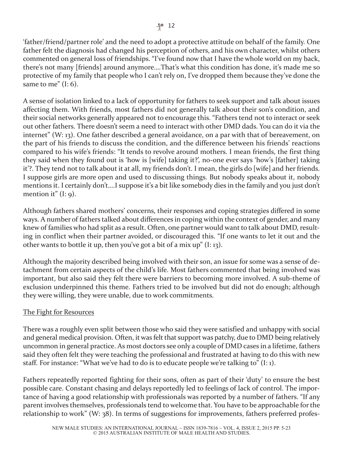'father/friend/partner role' and the need to adopt a protective attitude on behalf of the family. One father felt the diagnosis had changed his perception of others, and his own character, whilst others commented on general loss of friendships. "I've found now that I have the whole world on my back, there's not many [friends] around anymore….That's what this condition has done, it's made me so protective of my family that people who I can't rely on, I've dropped them because they've done the same to me"  $(I: 6)$ .

A sense of isolation linked to a lack of opportunity for fathers to seek support and talk about issues affecting them. With friends, most fathers did not generally talk about their son's condition, and their social networks generally appeared not to encourage this. "Fathers tend not to interact or seek out other fathers. There doesn't seem a need to interact with other DMD dads. You can do it via the internet" (W: 13). One father described a general avoidance, on a par with that of bereavement, on the part of his friends to discuss the condition, and the difference between his friends' reactions compared to his wife's friends: "It tends to revolve around mothers. I mean friends, the first thing they said when they found out is 'how is [wife] taking it?', no-one ever says 'how's [father] taking it'?. They tend not to talk about it at all, my friends don't. I mean, the girls do [wife] and her friends. I suppose girls are more open and used to discussing things. But nobody speaks about it, nobody mentions it. I certainly don't….I suppose it's a bit like somebody dies in the family and you just don't mention it"  $(I: q)$ .

Although fathers shared mothers' concerns, their responses and coping strategies differed in some ways. A number of fathers talked about differences in coping within the context of gender, and many knew of families who had split as a result. Often, one partner would want to talk about DMD, resulting in conflict when their partner avoided, or discouraged this. "If one wants to let it out and the other wants to bottle it up, then you've got a bit of a mix up" (I: 13).

Although the majority described being involved with their son, an issue for some was a sense of detachment from certain aspects of the child's life. Most fathers commented that being involved was important, but also said they felt there were barriers to becoming more involved. A sub-theme of exclusion underpinned this theme. Fathers tried to be involved but did not do enough; although they were willing, they were unable, due to work commitments.

# The Fight for Resources

There was a roughly even split between those who said they were satisfied and unhappy with social and general medical provision. Often, it was felt that support was patchy, due to DMD being relatively uncommon in general practice. As most doctors see only a couple of DMD cases in a lifetime, fathers said they often felt they were teaching the professional and frustrated at having to do this with new staff. For instance: "What we've had to do is to educate people we're talking to"  $(I: 1)$ .

Fathers repeatedly reported fighting for their sons, often as part of their 'duty' to ensure the best possible care. Constant chasing and delays reportedly led to feelings of lack of control. The importance of having a good relationship with professionals was reported by a number of fathers. "If any parent involves themselves, professionals tend to welcome that. You have to be approachable forthe relationship to work" (W: 38). In terms of suggestions for improvements, fathers preferred profes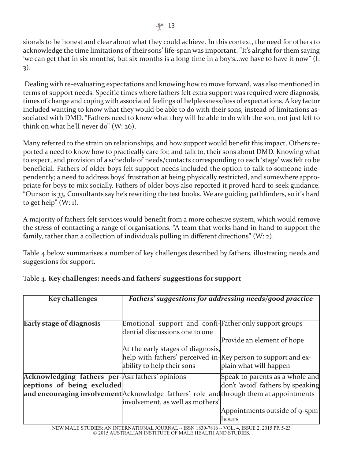sionals to be honest and clear about what they could achieve. In this context, the need for others to acknowledge the time limitations of their sons' life-span was important. "It's alright forthem saying 'we can get that in six months', but six months is a long time in a boy's…we have to have it now" (I: 3).

Dealing with re-evaluating expectations and knowing how to move forward, was also mentioned in terms of support needs. Specific times where fathers felt extra support was required were diagnosis, times of change and coping with associated feelings of helplessness/loss of expectations. A key factor included wanting to know what they would be able to do with their sons, instead of limitations associated with DMD. "Fathers need to know what they will be able to do with the son, not just left to think on what he'll never do" (W: 26).

Many referred to the strain on relationships, and how support would benefit this impact. Others reported a need to know how to practically care for, and talk to, their sons about DMD. Knowing what to expect, and provision of a schedule of needs/contacts corresponding to each 'stage' was felt to be beneficial. Fathers of older boys felt support needs included the option to talk to someone independently; a need to address boys' frustration at being physically restricted, and somewhere appropriate for boys to mix socially. Fathers of older boys also reported it proved hard to seek guidance. "Our son is 33, Consultants say he's rewriting the test books. We are guiding pathfinders, so it's hard to get help"  $(W: 1)$ .

A majority of fathers felt services would benefit from a more cohesive system, which would remove the stress of contacting a range of organisations. "A team that works hand in hand to support the family, rather than a collection of individuals pulling in different directions" (W:  $2$ ).

Table 4 below summarises a number of key challenges described by fathers, illustrating needs and suggestions for support.

| <b>Key challenges</b>                                  | Fathers' suggestions for addressing needs/good practice                                |                                   |  |
|--------------------------------------------------------|----------------------------------------------------------------------------------------|-----------------------------------|--|
|                                                        |                                                                                        |                                   |  |
| Early stage of diagnosis                               | Emotional support and confi-Father only support groups                                 |                                   |  |
|                                                        | dential discussions one to one                                                         |                                   |  |
|                                                        |                                                                                        | Provide an element of hope        |  |
|                                                        | At the early stages of diagnosis,                                                      |                                   |  |
|                                                        | help with fathers' perceived in-Key person to support and ex-                          |                                   |  |
|                                                        | ability to help their sons                                                             | plain what will happen            |  |
| <b>Acknowledging fathers per-Ask fathers' opinions</b> |                                                                                        | Speak to parents as a whole and   |  |
| ceptions of being excluded                             |                                                                                        | don't 'avoid' fathers by speaking |  |
|                                                        | and encouraging involvement Acknowledge fathers' role and through them at appointments |                                   |  |
|                                                        | involvement, as well as mothers'                                                       |                                   |  |
|                                                        |                                                                                        | Appointments outside of 9-5pm     |  |
|                                                        |                                                                                        | hours                             |  |

# Table 4. **Key challenges: needs and fathers' suggestions for support**

NEW MALE STUDIES: AN INTERNATIONAL JOURNAL ~ ISSN 1839-7816 ~ VOL. 4, ISSUE 2, 2015 PP. 5-23 © 2015 AUSTRALIAN INSTITUTE OF MALE HEALTH AND STUDIES.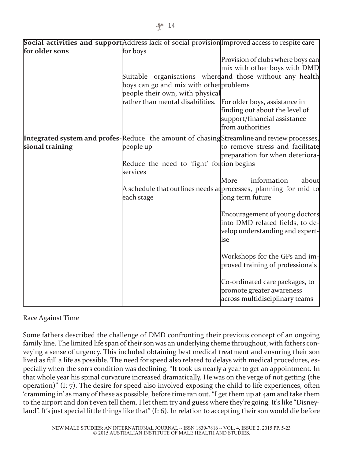|                 | Social activities and support Address lack of social provision Improved access to respite care |                                                                  |
|-----------------|------------------------------------------------------------------------------------------------|------------------------------------------------------------------|
| for older sons  | for boys                                                                                       |                                                                  |
|                 |                                                                                                | Provision of clubs where boys can                                |
|                 |                                                                                                | mix with other boys with DMD                                     |
|                 |                                                                                                | Suitable organisations whereand those without any health         |
|                 | boys can go and mix with other problems                                                        |                                                                  |
|                 | people their own, with physical                                                                |                                                                  |
|                 | rather than mental disabilities.                                                               | For older boys, assistance in                                    |
|                 |                                                                                                | finding out about the level of                                   |
|                 |                                                                                                | support/financial assistance                                     |
|                 |                                                                                                | from authorities                                                 |
|                 | Integrated system and profes-Reduce the amount of chasingStreamline and review processes,      |                                                                  |
| sional training | people up                                                                                      | to remove stress and facilitate                                  |
|                 |                                                                                                | preparation for when deteriora-                                  |
|                 | Reduce the need to 'fight' fortion begins                                                      |                                                                  |
|                 | services                                                                                       |                                                                  |
|                 |                                                                                                | information<br>More<br>about                                     |
|                 |                                                                                                | A schedule that outlines needs at processes, planning for mid to |
|                 | each stage                                                                                     | long term future                                                 |
|                 |                                                                                                |                                                                  |
|                 |                                                                                                | Encouragement of young doctors                                   |
|                 |                                                                                                | into DMD related fields, to de-                                  |
|                 |                                                                                                | velop understanding and expert-                                  |
|                 |                                                                                                | lise                                                             |
|                 |                                                                                                |                                                                  |
|                 |                                                                                                | Workshops for the GPs and im-                                    |
|                 |                                                                                                | proved training of professionals                                 |
|                 |                                                                                                |                                                                  |
|                 |                                                                                                | Co-ordinated care packages, to                                   |
|                 |                                                                                                | promote greater awareness                                        |
|                 |                                                                                                | across multidisciplinary teams                                   |
|                 |                                                                                                |                                                                  |

#### Race Against Time

Some fathers described the challenge of DMD confronting their previous concept of an ongoing family line. The limited life span of their son was an underlying theme throughout, with fathers conveying a sense of urgency. This included obtaining best medical treatment and ensuring their son lived as full a life as possible. The need for speed also related to delays with medical procedures, especially when the son's condition was declining. "It took us nearly a year to get an appointment. In that whole year his spinal curvature increased dramatically. He was on the verge of not getting (the operation)" (I: 7). The desire for speed also involved exposing the child to life experiences, often 'cramming in' as many of these as possible, before time ran out. "I get them up at 4am and take them to the airport and don't even tell them. I let them try and guess where they're going. It's like "Disneyland". It's just special little things like that" (I: 6). In relation to accepting their son would die before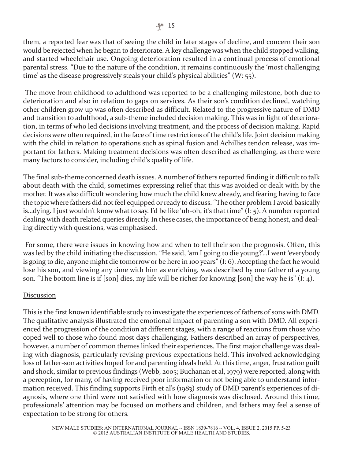them, a reported fear was that of seeing the child in later stages of decline, and concern their son would be rejected when he began to deteriorate. A key challenge was when the child stopped walking, and started wheelchair use. Ongoing deterioration resulted in a continual process of emotional parental stress. "Due to the nature of the condition, it remains continuously the 'most challenging time' as the disease progressively steals your child's physical abilities" (W: 55).

The move from childhood to adulthood was reported to be a challenging milestone, both due to deterioration and also in relation to gaps on services. As their son's condition declined, watching other children grow up was often described as difficult. Related to the progressive nature of DMD and transition to adulthood, a sub-theme included decision making. This was in light of deterioration, in terms of who led decisions involving treatment, and the process of decision making. Rapid decisions were often required, in the face of time restrictions of the child's life. Joint decision making with the child in relation to operations such as spinal fusion and Achillies tendon release, was important for fathers. Making treatment decisions was often described as challenging, as there were many factors to consider, including child's quality of life.

The final sub-theme concerned death issues. A number of fathers reported finding it difficult to talk about death with the child, sometimes expressing relief that this was avoided or dealt with by the mother. It was also difficult wondering how much the child knew already, and fearing having to face the topic where fathers did not feel equipped or ready to discuss. "The other problem I avoid basically is…dying. I just wouldn't know what to say. I'd be like 'uh-oh, it's that time" (I: 5). A numberreported dealing with death related queries directly. In these cases, the importance of being honest, and dealing directly with questions, was emphasised.

For some, there were issues in knowing how and when to tell their son the prognosis. Often, this was led by the child initiating the discussion. "He said, 'am I going to die young?'…I went 'everybody is going to die, anyone might die tomorrow or be here in 100 years" (I: 6). Accepting the fact he would lose his son, and viewing any time with him as enriching, was described by one father of a young son. "The bottom line is if [son] dies, my life will be richer for knowing [son] the way he is"  $(1: 4)$ .

# Discussion

This is the first known identifiable study to investigate the experiences of fathers of sons with DMD. The qualitative analysis illustrated the emotional impact of parenting a son with DMD. All experienced the progression of the condition at different stages, with a range of reactions from those who coped well to those who found most days challenging. Fathers described an array of perspectives, however, a number of common themes linked their experiences. The first major challenge was dealing with diagnosis, particularly revising previous expectations held. This involved acknowledging loss of father-son activities hoped for and parenting ideals held. At this time, anger, frustration guilt and shock, similarto previous findings (Webb, 2005; Buchanan et al, 1979) were reported, along with a perception, for many, of having received poor information or not being able to understand information received. This finding supports Firth et al's (1983) study of DMD parent's experiences of diagnosis, where one third were not satisfied with how diagnosis was disclosed. Around this time, professionals' attention may be focused on mothers and children, and fathers may feel a sense of expectation to be strong for others.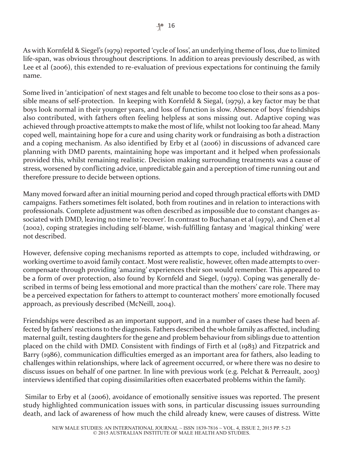As with Kornfeld & Siegel's (1979) reported 'cycle of loss', an underlying theme of loss, due to limited life-span, was obvious throughout descriptions. In addition to areas previously described, as with Lee et al (2006), this extended to re-evaluation of previous expectations for continuing the family name.

Some lived in 'anticipation' of next stages and felt unable to become too close to their sons as a possible means of self-protection. In keeping with Kornfeld & Siegal, (1979), a key factor may be that boys look normal in their younger years, and loss of function is slow. Absence of boys' friendships also contributed, with fathers often feeling helpless at sons missing out. Adaptive coping was achieved through proactive attempts to make the most of life, whilst not looking too far ahead. Many coped well, maintaining hope for a cure and using charity work or fundraising as both a distraction and a coping mechanism. As also identified by Erby et al (2006) in discussions of advanced care planning with DMD parents, maintaining hope was important and it helped when professionals provided this, whilst remaining realistic. Decision making surrounding treatments was a cause of stress, worsened by conflicting advice, unpredictable gain and a perception of time running out and therefore pressure to decide between options.

Many moved forward after an initial mourning period and coped through practical efforts with DMD campaigns. Fathers sometimes felt isolated, both from routines and in relation to interactions with professionals. Complete adjustment was often described as impossible due to constant changes associated with DMD, leaving no time to 'recover'. In contrast to Buchanan et al (1979), and Chen et al (2002), coping strategies including self-blame, wish-fulfilling fantasy and 'magical thinking' were not described.

However, defensive coping mechanisms reported as attempts to cope, included withdrawing, or working overtime to avoid family contact. Most were realistic, however, often made attempts to overcompensate through providing 'amazing' experiences their son would remember. This appeared to be a form of over protection, also found by Kornfeld and Siegel, (1979). Coping was generally described in terms of being less emotional and more practical than the mothers' care role. There may be a perceived expectation for fathers to attempt to counteract mothers' more emotionally focused approach, as previously described (McNeill, 2004).

Friendships were described as an important support, and in a number of cases these had been affected by fathers' reactions to the diagnosis. Fathers described the whole family as affected, including maternal guilt, testing daughters for the gene and problem behaviour from siblings due to attention placed on the child with DMD. Consistent with findings of Firth et al (1983) and Fitzpatrick and Barry (1986), communication difficulties emerged as an important area for fathers, also leading to challenges within relationships, where lack of agreement occurred, or where there was no desire to discuss issues on behalf of one partner. In line with previous work (e.g. Pelchat & Perreault, 2003) interviews identified that coping dissimilarities often exacerbated problems within the family.

Similar to Erby et al (2006), avoidance of emotionally sensitive issues was reported. The present study highlighted communication issues with sons, in particular discussing issues surrounding death, and lack of awareness of how much the child already knew, were causes of distress. Witte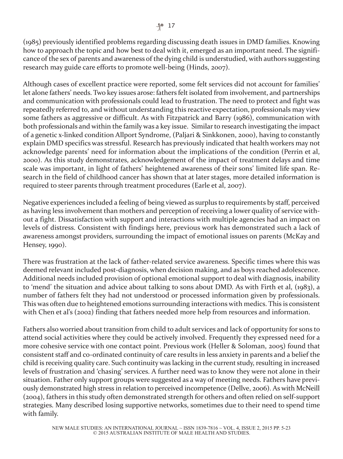(1985) previously identified problems regarding discussing death issues in DMD families. Knowing how to approach the topic and how best to deal with it, emerged as an important need. The significance of the sex of parents and awareness of the dying child is understudied, with authors suggesting research may guide care efforts to promote well-being (Hinds, 2007).

Although cases of excellent practice were reported, some felt services did not account for families' let alone fathers' needs. Two key issues arose: fathers felt isolated from involvement, and partnerships and communication with professionals could lead to frustration. The need to protect and fight was repeatedly referred to, and without understanding this reactive expectation, professionals may view some fathers as aggressive or difficult. As with Fitzpatrick and Barry (1986), communication with both professionals and within the family was a key issue. Similar to research investigating the impact of a genetic x-linked condition Allport Syndrome, (Paljari & Sinkkonen, 2000), having to constantly explain DMD specifics was stressful. Research has previously indicated that health workers may not acknowledge parents' need for information about the implications of the condition (Perrin et al, 2000). As this study demonstrates, acknowledgement of the impact of treatment delays and time scale was important, in light of fathers' heightened awareness of their sons' limited life span. Research in the field of childhood cancer has shown that at later stages, more detailed information is required to steer parents through treatment procedures (Earle et al, 2007).

Negative experiences included a feeling of being viewed as surplus to requirements by staff, perceived as having less involvement than mothers and perception of receiving a lower quality of service without a fight. Dissatisfaction with support and interactions with multiple agencies had an impact on levels of distress. Consistent with findings here, previous work has demonstrated such a lack of awareness amongst providers, surrounding the impact of emotional issues on parents (McKay and Hensey, 1990).

There was frustration at the lack of father-related service awareness. Specific times where this was deemed relevant included post-diagnosis, when decision making, and as boys reached adolescence. Additional needs included provision of optional emotional support to deal with diagnosis, inability to 'mend' the situation and advice about talking to sons about DMD. As with Firth et al, (1983), a number of fathers felt they had not understood or processed information given by professionals. This was often due to heightened emotions surrounding interactions with medics. This is consistent with Chen et al's (2002) finding that fathers needed more help from resources and information.

Fathers also worried about transition from child to adult services and lack of opportunity for sons to attend social activities where they could be actively involved. Frequently they expressed need for a more cohesive service with one contact point. Previous work (Heller & Soloman, 2005) found that consistent staff and co-ordinated continuity of care results in less anxiety in parents and a belief the child is receiving quality care. Such continuity was lacking in the current study, resulting in increased levels of frustration and 'chasing' services. A further need was to know they were not alone in their situation. Father only support groups were suggested as a way of meeting needs. Fathers have previously demonstrated high stress in relation to perceived incompetence (Dellve, 2006). As with McNeill (2004), fathers in this study often demonstrated strength for others and often relied on self-support strategies. Many described losing supportive networks, sometimes due to their need to spend time with family.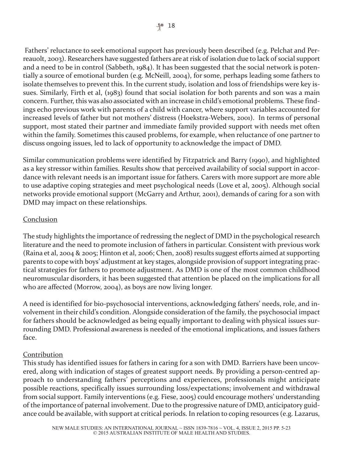Fathers' reluctance to seek emotional support has previously been described (e.g. Pelchat and Perreauolt, 2003). Researchers have suggested fathers are atrisk of isolation due to lack of social support and a need to be in control (Sabbeth, 1984). It has been suggested that the social network is potentially a source of emotional burden (e.g. McNeill, 2004), for some, perhaps leading some fathers to isolate themselves to prevent this. In the current study, isolation and loss of friendships were key issues. Similarly, Firth et al, (1983) found that social isolation for both parents and son was a main concern. Further, this was also associated with an increase in child's emotional problems. These findings echo previous work with parents of a child with cancer, where support variables accounted for increased levels of father but not mothers' distress (Hoekstra-Webers, 2001). In terms of personal support, most stated their partner and immediate family provided support with needs met often within the family. Sometimes this caused problems, for example, when reluctance of one partner to discuss ongoing issues, led to lack of opportunity to acknowledge the impact of DMD.

Similar communication problems were identified by Fitzpatrick and Barry (1990), and highlighted as a key stressor within families. Results show that perceived availability of social support in accordance with relevant needs is an important issue for fathers. Carers with more support are more able to use adaptive coping strategies and meet psychological needs (Love et al, 2005). Although social networks provide emotional support (McGarry and Arthur, 2001), demands of caring for a son with DMD may impact on these relationships.

# Conclusion

The study highlights the importance of redressing the neglect of DMD in the psychological research literature and the need to promote inclusion of fathers in particular. Consistent with previous work (Raina et al, 2004 & 2005; Hinton et al, 2006; Chen, 2008) results suggest efforts aimed at supporting parents to cope with boys' adjustment at key stages, alongside provision of support integrating practical strategies for fathers to promote adjustment. As DMD is one of the most common childhood neuromuscular disorders, it has been suggested that attention be placed on the implications for all who are affected (Morrow, 2004), as boys are now living longer.

A need is identified for bio-psychosocial interventions, acknowledging fathers' needs, role, and involvement in their child's condition. Alongside consideration of the family, the psychosocial impact for fathers should be acknowledged as being equally important to dealing with physical issues surrounding DMD. Professional awareness is needed of the emotional implications, and issues fathers face.

# Contribution

This study has identified issues for fathers in caring for a son with DMD. Barriers have been uncovered, along with indication of stages of greatest support needs. By providing a person-centred approach to understanding fathers' perceptions and experiences, professionals might anticipate possible reactions, specifically issues surrounding loss/expectations; involvement and withdrawal from social support. Family interventions (e.g. Fiese, 2005) could encourage mothers' understanding of the importance of paternal involvement. Due to the progressive nature of DMD, anticipatory guidance could be available, with support at critical periods. In relation to coping resources (e.g. Lazarus,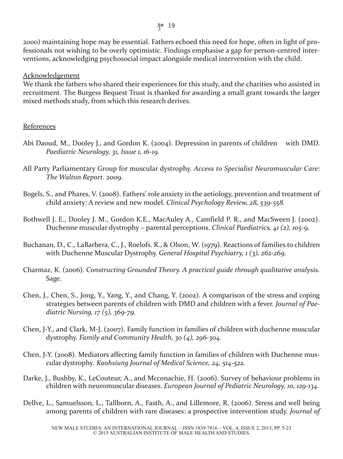2000) maintaining hope may be essential. Fathers echoed this need for hope, often in light of professionals not wishing to be overly optimistic. Findings emphasise a gap for person-centred interventions, acknowledging psychosocial impact alongside medical intervention with the child.

Acknowledgement

We thank the fathers who shared their experiences for this study, and the charities who assisted in recruitment. The Burgess Bequest Trust is thanked for awarding a small grant towards the larger mixed methods study, from which this research derives.

#### References

- Abi Daoud, M., Dooley J., and Gordon K. (2004). Depression in parents of children with DMD. *Paediatric Neurology, 31, Issue 1, 16-19.*
- All Party Parliamentary Group for muscular dystrophy. *Access to Specialist Neuromuscular Care: The Walton Report.* 2009.
- Bogels, S., and Phares, V. (2008). Fathers' role anxiety in the aetiology, prevention and treatment of child anxiety: A review and new model. *Clinical Psychology Review, 28, 539-558.*
- Bothwell J. E., Dooley J. M., Gordon K.E., MacAuley A., Camfield P. R., and MacSween J. (2002). Duchenne muscular dystrophy – parental perceptions. *Clinical Paediatrics, 41 (2), 105-9.*
- Buchanan, D., C., LaBarbera, C., J., Roelofs. R., & Olson, W. (1979). Reactions of families to children with Duchenne Muscular Dystrophy. *General Hospital Psychiatry, 1 (3), 262-269.*
- Charmaz, K. (2006). *Constructing Grounded Theory. A practical guide through qualitative analysis.* Sage.
- Chen, J., Chen, S., Jong, Y., Yang, Y., and Chang, Y. (2002). A comparison of the stress and coping strategies between parents of children with DMD and children with a fever. *Journal of Paediatric Nursing, 17 (5), 369-79.*
- Chen, J-Y., and Clark, M-J. (2007). Family function in families of children with duchenne muscular dystrophy. *Family and Community Health, 30 (4), 296-304.*
- Chen, J-Y. (2008). Mediators affecting family function in families of children with Duchenne muscular dystrophy*. Kaohsiung Journal of Medical Science, 24, 514-522.*
- Darke, J., Bushby, K., LeCouteur, A., and Mcconachie, H. (2006). Survey of behaviour problems in children with neuromuscular diseases. *European Journal of Pediatric Neurology, 10, 129-134.*
- Dellve, L., Samuelsson, L., Tallborn, A., Fasth, A., and Lillemore, R. (2006). Stress and well being among parents of children with rare diseases: a prospective intervention study. *Journal of*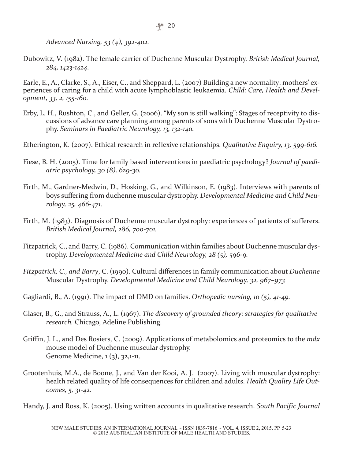*Advanced Nursing, 53 (4), 392-402.*

Dubowitz, V. (1982). The female carrier of Duchenne Muscular Dystrophy. *British Medical Journal, 284, 1423-1424.*

Earle, E., A., Clarke, S., A., Eiser, C., and Sheppard, L. (2007) Building a new normality: mothers' experiences of caring for a child with acute lymphoblastic leukaemia. *Child: Care, Health and Development, 33, 2, 155-160.*

- Erby, L. H., Rushton, C., and Geller, G. (2006). "My son is still walking": Stages of receptivity to discussions of advance care planning among parents of sons with Duchenne Muscular Dystrophy. *Seminars in Paediatric Neurology, 13, 132-140.*
- Etherington, K. (2007). Ethical research in reflexive relationships. *Qualitative Enquiry, 13, 599-616.*
- Fiese, B. H. (2005). Time for family based interventions in paediatric psychology? *Journal of paediatric psychology, 30 (8), 629-30.*
- Firth, M., Gardner-Medwin, D., Hosking, G., and Wilkinson, E. (1983). Interviews with parents of boys suffering from duchenne muscular dystrophy. *Developmental Medicine and Child Neurology, 25, 466-471.*
- Firth, M. (1983). Diagnosis of Duchenne muscular dystrophy: experiences of patients of sufferers. *British Medical Journal, 286, 700-701.*
- Fitzpatrick, C., and Barry, C. (1986). Communication within families about Duchenne muscular dystrophy. *Developmental Medicine and Child Neurology, 28 (5), 596-9.*
- *Fitzpatrick, C., and Barry*, C. (1990). Cultural differences in family communication about *Duchenne* Muscular Dystrophy. *Developmental Medicine and Child Neurology, 32, 967–973*
- Gagliardi, B., A. (1991). The impact of DMD on families. *Orthopedic nursing, 10 (5), 41-49.*
- Glaser, B., G., and Strauss, A., L. (1967). *The discovery of grounded theory: strategies for qualitative research.* Chicago, Adeline Publishing.
- Griffin, J. L., and Des Rosiers, C. (2009). Applications of metabolomics and proteomics to the *mdx* mouse model of Duchenne muscular dystrophy. Genome Medicine, 1 (3), 32,1-11.
- Grootenhuis, M.A., de Boone, J., and Van der Kooi, A. J. (2007). Living with muscular dystrophy: health related quality of life consequences for children and adults. *Health Quality Life Outcomes, 5, 31-42.*
- Handy, J. and Ross, K. (2005). Using written accounts in qualitative research. *South Pacific Journal*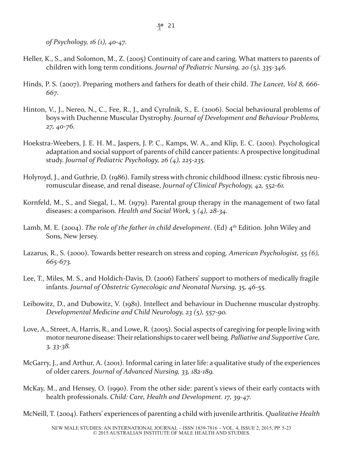*of Psychology, 16 (1), 40-47.*

- Heller, K., S., and Solomon, M., Z. (2005) Continuity of care and caring. What matters to parents of children with long term conditions. *Journal of Pediatric Nursing, 20 (5), 335-346.*
- Hinds, P. S. (2007). Preparing mothers and fathers for death of their child. *The Lancet, Vol 8, 666- 667.*
- Hinton, V., J., Nereo, N., C., Fee, R., J., and Cyrulnik, S., E. (2006). Social behavioural problems of boys with Duchenne Muscular Dystrophy. *Journal of Development and Behaviour Problems, 27, 40-76.*
- Hoekstra-Weebers, J. E. H. M., Jaspers, J. P. C., Kamps, W. A., and Klip, E. C. (2001). Psychological adaptation and social support of parents of child cancer patients: A prospective longitudinal study. *Journal of Pediatric Psychology, 26 (4), 225-235.*
- Holyroyd, J., and Guthrie, D. (1986). Family stress with chronic childhood illness: cystic fibrosis neuromuscular disease, and renal disease, *Journal of Clinical Psychology, 42, 552-61.*
- Kornfeld, M., S., and Siegal, I., M. (1979). Parental group therapy in the management of two fatal diseases: a comparison*. Health and Social Work, 5 (4), 28-34.*
- Lamb, M. E. (2004). *The role of the father in child development*. (Ed) 4th Edition. John Wiley and Sons, New Jersey.
- Lazarus, R., S. (2000). Towards better research on stress and coping. *American Psychologist, 55 (6), 665-673.*
- Lee, T., Miles, M. S., and Holdich-Davis, D. (2006) Fathers' support to mothers of medically fragile infants. *Journal of Obstetric Gynecologic and Neonatal Nursing, 35, 46-55.*
- Leibowitz, D., and Dubowitz, V. (1981). Intellect and behaviour in Duchenne muscular dystrophy. *Developmental Medicine and Child Neurology, 23 (5), 557-90.*
- Love, A., Street, A, Harris, R., and Lowe, R. (2005). Social aspects of caregiving for people living with motor neurone disease: Theirrelationships to carer well being. *Palliative and Supportive Care, 3, 33-38.*
- McGarry, J., and Arthur, A. (2001). Informal caring in later life: a qualitative study of the experiences of older carers. *Journal of Advanced Nursing, 33, 182-189.*
- McKay, M., and Hensey, O. (1990). From the other side: parent's views of their early contacts with health professionals. *Child: Care, Health and Development. 17, 39-47.*

McNeill, T. (2004). Fathers' experiences of parenting a child with juvenile arthritis. *Qualitative Health*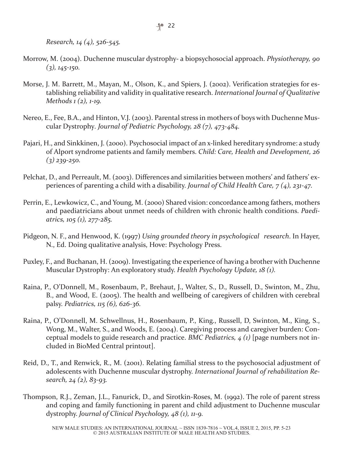*Research, 14 (4), 526-545.*

- Morrow, M. (2004). Duchenne muscular dystrophy- a biopsychosocial approach. *Physiotherapy, 90 (3), 145-150.*
- Morse, J. M. Barrett, M., Mayan, M., Olson, K., and Spiers, J. (2002). Verification strategies for establishing reliability and validity in qualitative research. *International Journal of Qualitative Methods 1 (2), 1-19.*
- Nereo, E., Fee, B.A., and Hinton, V.J. (2003). Parental stress in mothers of boys with Duchenne Muscular Dystrophy*. Journal of Pediatric Psychology, 28 (7), 473-484.*
- Pajari, H., and Sinkkinen, J. (2000). Psychosocial impact of an x-linked hereditary syndrome: a study of Alport syndrome patients and family members. *Child: Care, Health and Development, 26 (3) 239-250.*
- Pelchat, D., and Perreault, M. (2003). Differences and similarities between mothers' and fathers' experiences of parenting a child with a disability. *Journal of Child Health Care, 7 (4), 231-47.*
- Perrin, E., Lewkowicz, C., and Young, M. (2000) Shared vision: concordance among fathers, mothers and paediatricians about unmet needs of children with chronic health conditions. *Paediatrics, 105 (1), 277-285.*
- Pidgeon, N. F., and Henwood, K. (1997) *Using grounded theory in psychological research*. In Hayer, N., Ed. Doing qualitative analysis, Hove: Psychology Press.
- Puxley, F., and Buchanan, H. (2009). Investigating the experience of having a brother with Duchenne Muscular Dystrophy: An exploratory study. *Health Psychology Update, 18 (1).*
- Raina, P., O'Donnell, M., Rosenbaum, P., Brehaut, J., Walter, S., D., Russell, D., Swinton, M., Zhu, B., and Wood, E. (2005). The health and wellbeing of caregivers of children with cerebral palsy. *Pediatrics, 115 (6), 626-36.*
- Raina, P., O'Donnell, M. Schwellnus, H., Rosenbaum, P., King., Russell, D, Swinton, M., King, S., Wong, M., Walter, S., and Woods, E. (2004). Caregiving process and caregiver burden: Conceptual models to guide research and practice. *BMC Pediatrics, 4 (1)* [page numbers not included in BioMed Central printout].
- Reid, D., T., and Renwick, R., M. (2001). Relating familial stress to the psychosocial adjustment of adolescents with Duchenne muscular dystrophy. *International Journal of rehabilitation Research, 24 (2), 83-93.*
- Thompson, R.J., Zeman, J.L., Fanurick, D., and Sirotkin-Roses, M. (1992). The role of parent stress and coping and family functioning in parent and child adjustment to Duchenne muscular dystrophy. *Journal of Clinical Psychology, 48 (1), 11-9.*